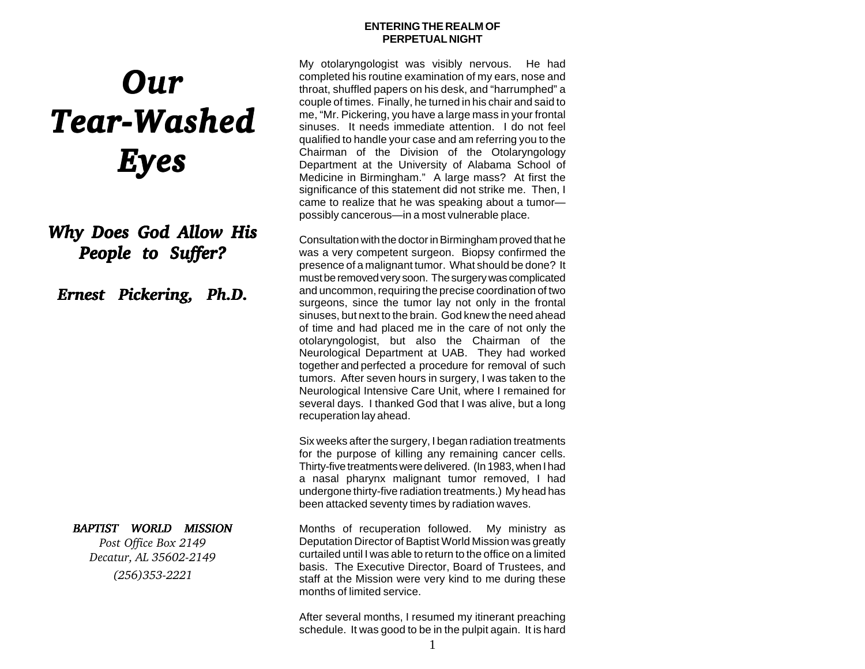#### **ENTERING THE REALM OF PERPETUAL NIGHT**

# *Our Tear-Washed Tear-Washed Eyes*

# *Why Does God Allow His Why Does God Allow His People to Suffer? People to Suffer?*

*Ernest Pickering, Ph.D.*

## *BAPTIST WORLD MISSION*

*Post Office Box 2149 Decatur, AL 35602-2149 (256)353-2221*

My otolaryngologist was visibly nervous. He had completed his routine examination of my ears, nose and throat, shuffled papers on his desk, and "harrumphed" a couple of times. Finally, he turned in his chair and said to me, "Mr. Pickering, you have a large mass in your frontal sinuses. It needs immediate attention. I do not feel qualified to handle your case and am referring you to the Chairman of the Division of the Otolaryngology Department at the University of Alabama School of Medicine in Birmingham." A large mass? At first the significance of this statement did not strike me. Then, I came to realize that he was speaking about a tumor possibly cancerous—in a most vulnerable place.

Consultation with the doctor in Birmingham proved that he was a very competent surgeon. Biopsy confirmed the presence of a malignant tumor. What should be done? It must be removed very soon. The surgery was complicated and uncommon, requiring the precise coordination of two surgeons, since the tumor lay not only in the frontal sinuses, but next to the brain. God knew the need ahead of time and had placed me in the care of not only the otolaryngologist, but also the Chairman of the Neurological Department at UAB. They had worked together and perfected a procedure for removal of such tumors. After seven hours in surgery, I was taken to the Neurological Intensive Care Unit, where I remained for several days. I thanked God that I was alive, but a long recuperation lay ahead.

Six weeks after the surgery, I began radiation treatments for the purpose of killing any remaining cancer cells. Thirty-five treatments were delivered. (In 1983, when I had a nasal pharynx malignant tumor removed, I had undergone thirty-five radiation treatments.) My head has been attacked seventy times by radiation waves.

Months of recuperation followed. My ministry as Deputation Director of Baptist World Mission was greatly curtailed until I was able to return to the office on a limited basis. The Executive Director, Board of Trustees, and staff at the Mission were very kind to me during these months of limited service.

After several months, I resumed my itinerant preaching schedule. It was good to be in the pulpit again. It is hard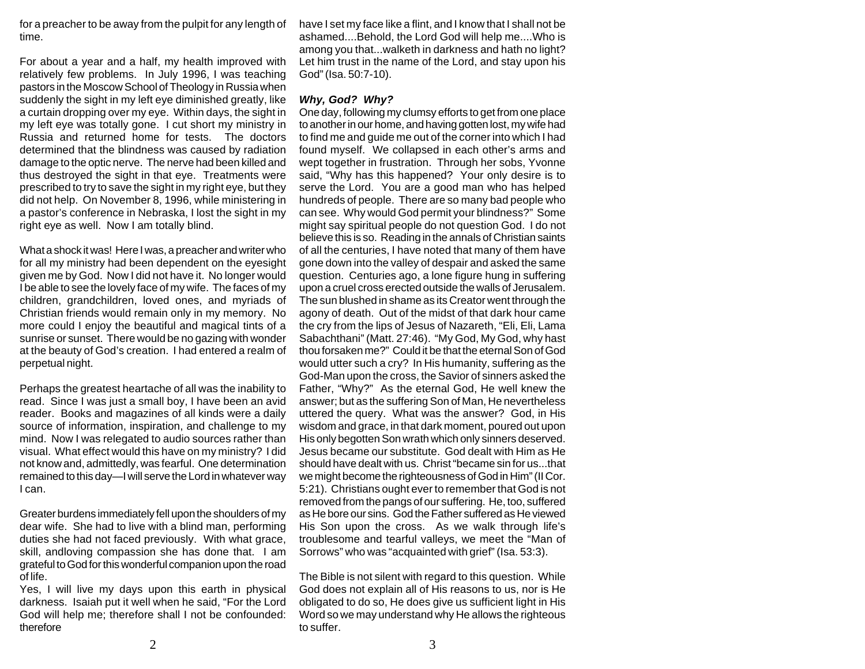for a preacher to be away from the pulpit for any length of time.

For about a year and a half, my health improved with relatively few problems. In July 1996, I was teaching pastors in the Moscow School of Theology in Russia when suddenly the sight in my left eye diminished greatly, like a curtain dropping over my eye. Within days, the sight in my left eye was totally gone. I cut short my ministry in Russia and returned home for tests. The doctors determined that the blindness was caused by radiation damage to the optic nerve. The nerve had been killed and thus destroyed the sight in that eye. Treatments were prescribed to try to save the sight in my right eye, but they did not help. On November 8, 1996, while ministering in a pastor's conference in Nebraska, I lost the sight in my right eye as well. Now I am totally blind.

What a shock it was! Here I was, a preacher and writer who for all my ministry had been dependent on the eyesight given me by God. Now I did not have it. No longer would I be able to see the lovely face of my wife. The faces of my children, grandchildren, loved ones, and myriads of Christian friends would remain only in my memory. No more could I enjoy the beautiful and magical tints of a sunrise or sunset. There would be no gazing with wonder at the beauty of God's creation. I had entered a realm of perpetual night.

Perhaps the greatest heartache of all was the inability to read. Since I was just a small boy, I have been an avid reader. Books and magazines of all kinds were a daily source of information, inspiration, and challenge to my mind. Now I was relegated to audio sources rather than visual. What effect would this have on my ministry? I did not know and, admittedly, was fearful. One determination remained to this day—I will serve the Lord in whatever way I can.

Greater burdens immediately fell upon the shoulders of my dear wife. She had to live with a blind man, performing duties she had not faced previously. With what grace, skill, andloving compassion she has done that. I am grateful to God for this wonderful companion upon the road of life.

Yes, I will live my days upon this earth in physical darkness. Isaiah put it well when he said, "For the Lord God will help me; therefore shall I not be confounded: therefore

have I set my face like a flint, and I know that I shall not be ashamed....Behold, the Lord God will help me....Who is among you that...walketh in darkness and hath no light? Let him trust in the name of the Lord, and stay upon his God" (Isa. 50:7-10).

### *Why, God? Why?*

One day, following my clumsy efforts to get from one place to another in our home, and having gotten lost, my wife had to find me and guide me out of the corner into which I had found myself. We collapsed in each other's arms and wept together in frustration. Through her sobs, Yvonne said, "Why has this happened? Your only desire is to serve the Lord. You are a good man who has helped hundreds of people. There are so many bad people who can see. Why would God permit your blindness?" Some might say spiritual people do not question God. I do not believe this is so. Reading in the annals of Christian saints of all the centuries, I have noted that many of them have gone down into the valley of despair and asked the same question. Centuries ago, a lone figure hung in suffering upon a cruel cross erected outside the walls of Jerusalem. The sun blushed in shame as its Creator went through the agony of death. Out of the midst of that dark hour came the cry from the lips of Jesus of Nazareth, "Eli, Eli, Lama Sabachthani" (Matt. 27:46). "My God, My God, why hast thou forsaken me?" Could it be that the eternal Son of God would utter such a cry? In His humanity, suffering as the God-Man upon the cross, the Savior of sinners asked the Father, "Why?" As the eternal God, He well knew the answer; but as the suffering Son of Man, He nevertheless uttered the query. What was the answer? God, in His wisdom and grace, in that dark moment, poured out upon His only begotten Son wrath which only sinners deserved. Jesus became our substitute. God dealt with Him as He should have dealt with us. Christ "became sin for us...that we might become the righteousness of God in Him" (II Cor. 5:21). Christians ought ever to remember that God is not removed from the pangs of our suffering. He, too, suffered as He bore our sins. God the Father suffered as He viewed His Son upon the cross. As we walk through life's troublesome and tearful valleys, we meet the "Man of Sorrows" who was "acquainted with grief" (Isa. 53:3).

The Bible is not silent with regard to this question. While God does not explain all of His reasons to us, nor is He obligated to do so, He does give us sufficient light in His Word so we may understand why He allows the righteous to suffer.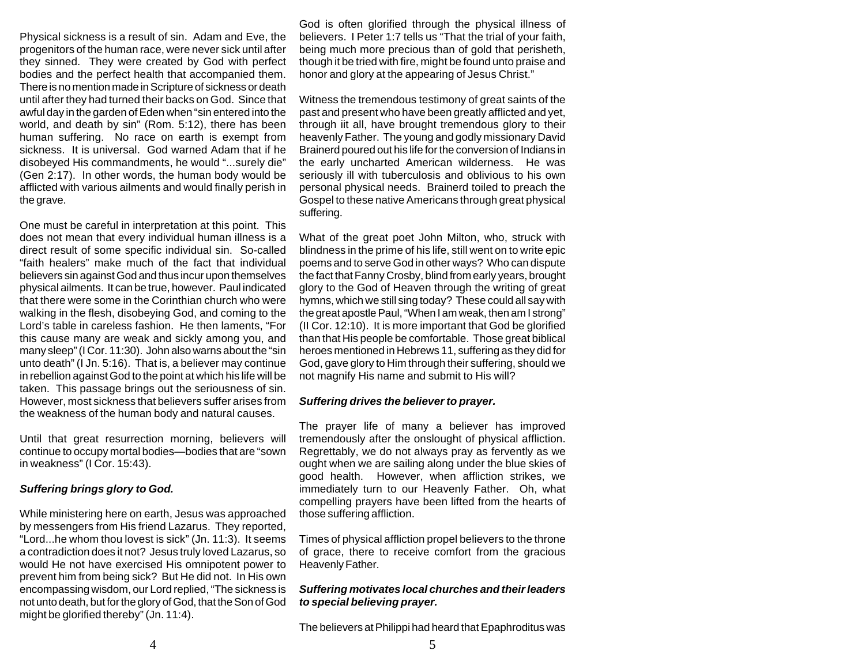Physical sickness is a result of sin. Adam and Eve, the progenitors of the human race, were never sick until after they sinned. They were created by God with perfect bodies and the perfect health that accompanied them. There is no mention made in Scripture of sickness or death until after they had turned their backs on God. Since that awful day in the garden of Eden when "sin entered into the world, and death by sin" (Rom. 5:12), there has been human suffering. No race on earth is exempt from sickness. It is universal. God warned Adam that if he disobeyed His commandments, he would "...surely die" (Gen 2:17). In other words, the human body would be afflicted with various ailments and would finally perish in the grave.

One must be careful in interpretation at this point. This does not mean that every individual human illness is a direct result of some specific individual sin. So-called "faith healers" make much of the fact that individual believers sin against God and thus incur upon themselves physical ailments. It can be true, however. Paul indicated that there were some in the Corinthian church who were walking in the flesh, disobeying God, and coming to the Lord's table in careless fashion. He then laments, "For this cause many are weak and sickly among you, and many sleep" (I Cor. 11:30). John also warns about the "sin unto death" (I Jn. 5:16). That is, a believer may continue in rebellion against God to the point at which his life will be taken. This passage brings out the seriousness of sin. However, most sickness that believers suffer arises from the weakness of the human body and natural causes.

Until that great resurrection morning, believers will continue to occupy mortal bodies—bodies that are "sown in weakness" (I Cor. 15:43).

#### *Suffering brings glory to God.*

While ministering here on earth, Jesus was approached by messengers from His friend Lazarus. They reported, "Lord...he whom thou lovest is sick" (Jn. 11:3). It seems a contradiction does it not? Jesus truly loved Lazarus, so would He not have exercised His omnipotent power to prevent him from being sick? But He did not. In His own encompassing wisdom, our Lord replied, "The sickness is not unto death, but for the glory of God, that the Son of God might be glorified thereby" (Jn. 11:4).

God is often glorified through the physical illness of believers. I Peter 1:7 tells us "That the trial of your faith, being much more precious than of gold that perisheth, though it be tried with fire, might be found unto praise and honor and glory at the appearing of Jesus Christ."

Witness the tremendous testimony of great saints of the past and present who have been greatly afflicted and yet, through iit all, have brought tremendous glory to their heavenly Father. The young and godly missionary David Brainerd poured out his life for the conversion of Indians in the early uncharted American wilderness. He was seriously ill with tuberculosis and oblivious to his own personal physical needs. Brainerd toiled to preach the Gospel to these native Americans through great physical suffering.

What of the great poet John Milton, who, struck with blindness in the prime of his life, still went on to write epic poems and to serve God in other ways? Who can dispute the fact that Fanny Crosby, blind from early years, brought glory to the God of Heaven through the writing of great hymns, which we still sing today? These could all say with the great apostle Paul, "When I am weak, then am I strong" (II Cor. 12:10). It is more important that God be glorified than that His people be comfortable. Those great biblical heroes mentioned in Hebrews 11, suffering as they did for God, gave glory to Him through their suffering, should we not magnify His name and submit to His will?

#### *Suffering drives the believer to prayer.*

The prayer life of many a believer has improved tremendously after the onslought of physical affliction. Regrettably, we do not always pray as fervently as we ought when we are sailing along under the blue skies of good health. However, when affliction strikes, we immediately turn to our Heavenly Father. Oh, what compelling prayers have been lifted from the hearts of those suffering affliction.

Times of physical affliction propel believers to the throne of grace, there to receive comfort from the gracious Heavenly Father.

#### *Suffering motivates local churches and their leaders to special believing prayer.*

The believers at Philippi had heard that Epaphroditus was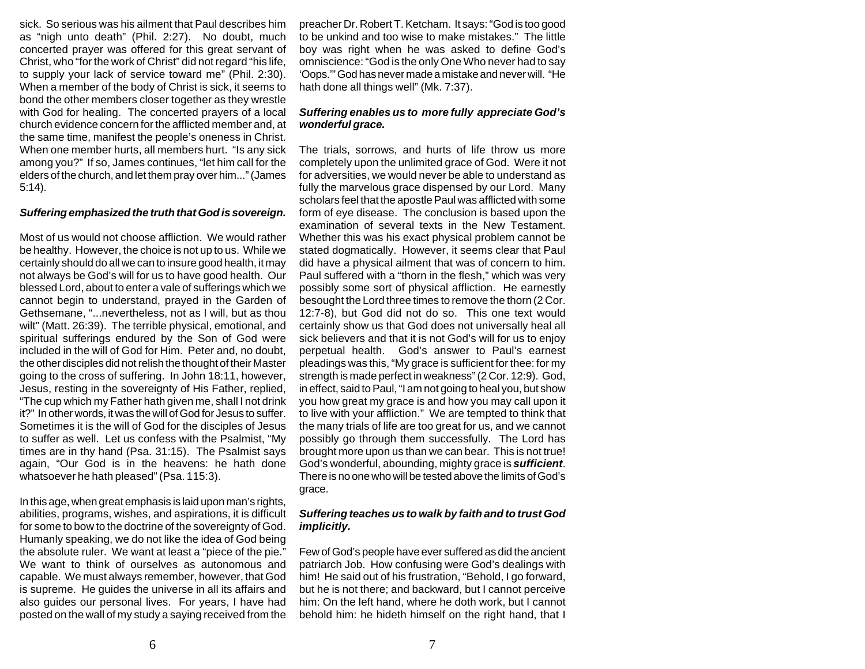sick. So serious was his ailment that Paul describes him as "nigh unto death" (Phil. 2:27). No doubt, much concerted prayer was offered for this great servant of Christ, who "for the work of Christ" did not regard "his life, to supply your lack of service toward me" (Phil. 2:30). When a member of the body of Christ is sick, it seems to bond the other members closer together as they wrestle with God for healing. The concerted prayers of a local church evidence concern for the afflicted member and, at the same time, manifest the people's oneness in Christ. When one member hurts, all members hurt. "Is any sick among you?" If so, James continues, "let him call for the elders of the church, and let them pray over him..." (James 5:14).

#### *Suffering emphasized the truth that God is sovereign.*

Most of us would not choose affliction. We would rather be healthy. However, the choice is not up to us. While we certainly should do all we can to insure good health, it may not always be God's will for us to have good health. Our blessed Lord, about to enter a vale of sufferings which we cannot begin to understand, prayed in the Garden of Gethsemane, "...nevertheless, not as I will, but as thou wilt" (Matt. 26:39). The terrible physical, emotional, and spiritual sufferings endured by the Son of God were included in the will of God for Him. Peter and, no doubt, the other disciples did not relish the thought of their Master going to the cross of suffering. In John 18:11, however, Jesus, resting in the sovereignty of His Father, replied, "The cup which my Father hath given me, shall I not drink it?" In other words, it was the will of God for Jesus to suffer. Sometimes it is the will of God for the disciples of Jesus to suffer as well. Let us confess with the Psalmist, "My times are in thy hand (Psa. 31:15). The Psalmist says again, "Our God is in the heavens: he hath done whatsoever he hath pleased" (Psa. 115:3).

In this age, when great emphasis is laid upon man's rights, abilities, programs, wishes, and aspirations, it is difficult for some to bow to the doctrine of the sovereignty of God. Humanly speaking, we do not like the idea of God being the absolute ruler. We want at least a "piece of the pie." We want to think of ourselves as autonomous and capable. We must always remember, however, that God is supreme. He guides the universe in all its affairs and also guides our personal lives. For years, I have had posted on the wall of my study a saying received from the

preacher Dr. Robert T. Ketcham. It says: "God is too good to be unkind and too wise to make mistakes." The little boy was right when he was asked to define God's omniscience: "God is the only One Who never had to say 'Oops.'" God has never made a mistake and never will. "He hath done all things well" (Mk. 7:37).

#### *Suffering enables us to more fully appreciate God's wonderful grace.*

The trials, sorrows, and hurts of life throw us more completely upon the unlimited grace of God. Were it not for adversities, we would never be able to understand as fully the marvelous grace dispensed by our Lord. Many scholars feel that the apostle Paul was afflicted with some form of eye disease. The conclusion is based upon the examination of several texts in the New Testament. Whether this was his exact physical problem cannot be stated dogmatically. However, it seems clear that Paul did have a physical ailment that was of concern to him. Paul suffered with a "thorn in the flesh," which was very possibly some sort of physical affliction. He earnestly besought the Lord three times to remove the thorn (2 Cor. 12:7-8), but God did not do so. This one text would certainly show us that God does not universally heal all sick believers and that it is not God's will for us to enjoy perpetual health. God's answer to Paul's earnest pleadings was this, "My grace is sufficient for thee: for my strength is made perfect in weakness" (2 Cor. 12:9). God, in effect, said to Paul, "I am not going to heal you, but show you how great my grace is and how you may call upon it to live with your affliction." We are tempted to think that the many trials of life are too great for us, and we cannot possibly go through them successfully. The Lord has brought more upon us than we can bear. This is not true! God's wonderful, abounding, mighty grace is *sufficient*. There is no one who will be tested above the limits of God's grace.

### *Suffering teaches us to walk by faith and to trust God implicitly.*

Few of God's people have ever suffered as did the ancient patriarch Job. How confusing were God's dealings with him! He said out of his frustration, "Behold, I go forward, but he is not there; and backward, but I cannot perceive him: On the left hand, where he doth work, but I cannot behold him: he hideth himself on the right hand, that I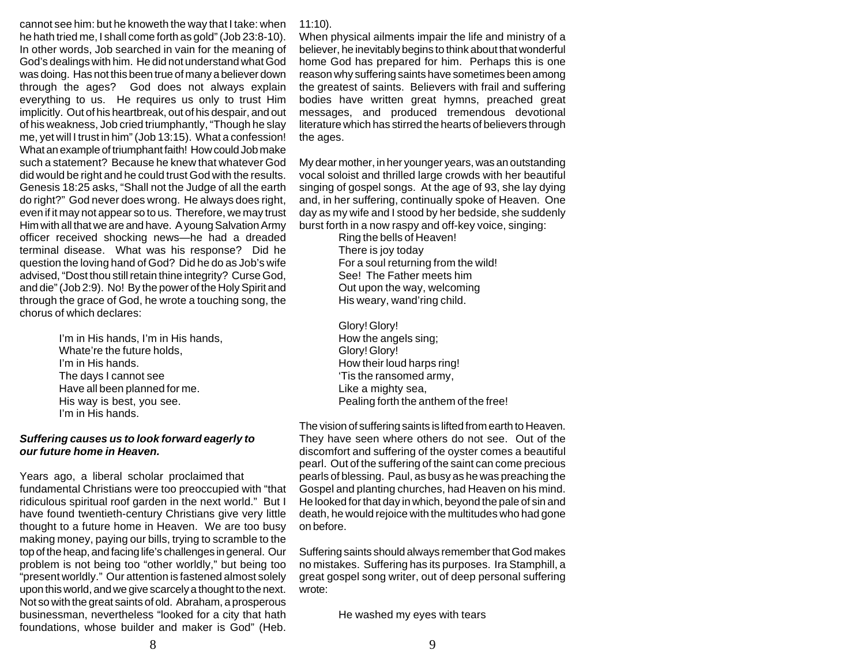cannot see him: but he knoweth the way that I take: when he hath tried me, I shall come forth as gold" (Job 23:8-10). In other words, Job searched in vain for the meaning of God's dealings with him. He did not understand what God was doing. Has not this been true of many a believer down through the ages? God does not always explain everything to us. He requires us only to trust Him implicitly. Out of his heartbreak, out of his despair, and out of his weakness, Job cried triumphantly, "Though he slay me, yet will I trust in him" (Job 13:15). What a confession! What an example of triumphant faith! How could Job make such a statement? Because he knew that whatever God did would be right and he could trust God with the results. Genesis 18:25 asks, "Shall not the Judge of all the earth do right?" God never does wrong. He always does right, even if it may not appear so to us. Therefore, we may trust Him with all that we are and have. A young Salvation Army officer received shocking news—he had a dreaded terminal disease. What was his response? Did he question the loving hand of God? Did he do as Job's wife advised, "Dost thou still retain thine integrity? Curse God, and die" (Job 2:9). No! By the power of the Holy Spirit and through the grace of God, he wrote a touching song, the chorus of which declares:

> I'm in His hands, I'm in His hands, Whate're the future holds, I'm in His hands. The days I cannot see Have all been planned for me. His way is best, you see. I'm in His hands.

#### *Suffering causes us to look forward eagerly to our future home in Heaven.*

Years ago, a liberal scholar proclaimed that fundamental Christians were too preoccupied with "that ridiculous spiritual roof garden in the next world." But I have found twentieth-century Christians give very little thought to a future home in Heaven. We are too busy making money, paying our bills, trying to scramble to the top of the heap, and facing life's challenges in general. Our problem is not being too "other worldly," but being too "present worldly." Our attention is fastened almost solely upon this world, and we give scarcely a thought to the next. Not so with the great saints of old. Abraham, a prosperous businessman, nevertheless "looked for a city that hath foundations, whose builder and maker is God" (Heb.

11:10).

When physical ailments impair the life and ministry of a believer, he inevitably begins to think about that wonderful home God has prepared for him. Perhaps this is one reason why suffering saints have sometimes been among the greatest of saints. Believers with frail and suffering bodies have written great hymns, preached great messages, and produced tremendous devotional literature which has stirred the hearts of believers through the ages.

My dear mother, in her younger years, was an outstanding vocal soloist and thrilled large crowds with her beautiful singing of gospel songs. At the age of 93, she lay dying and, in her suffering, continually spoke of Heaven. One day as my wife and I stood by her bedside, she suddenly burst forth in a now raspy and off-key voice, singing:

Ring the bells of Heaven! There is joy today For a soul returning from the wild! See! The Father meets him Out upon the way, welcoming His weary, wand'ring child.

Glory! Glory! How the angels sing; Glory! Glory! How their loud harps ring! 'Tis the ransomed army, Like a mighty sea, Pealing forth the anthem of the free!

The vision of suffering saints is lifted from earth to Heaven. They have seen where others do not see. Out of the discomfort and suffering of the oyster comes a beautiful pearl. Out of the suffering of the saint can come precious pearls of blessing. Paul, as busy as he was preaching the Gospel and planting churches, had Heaven on his mind. He looked for that day in which, beyond the pale of sin and death, he would rejoice with the multitudes who had gone on before.

Suffering saints should always remember that God makes no mistakes. Suffering has its purposes. Ira Stamphill, a great gospel song writer, out of deep personal suffering wrote:

He washed my eyes with tears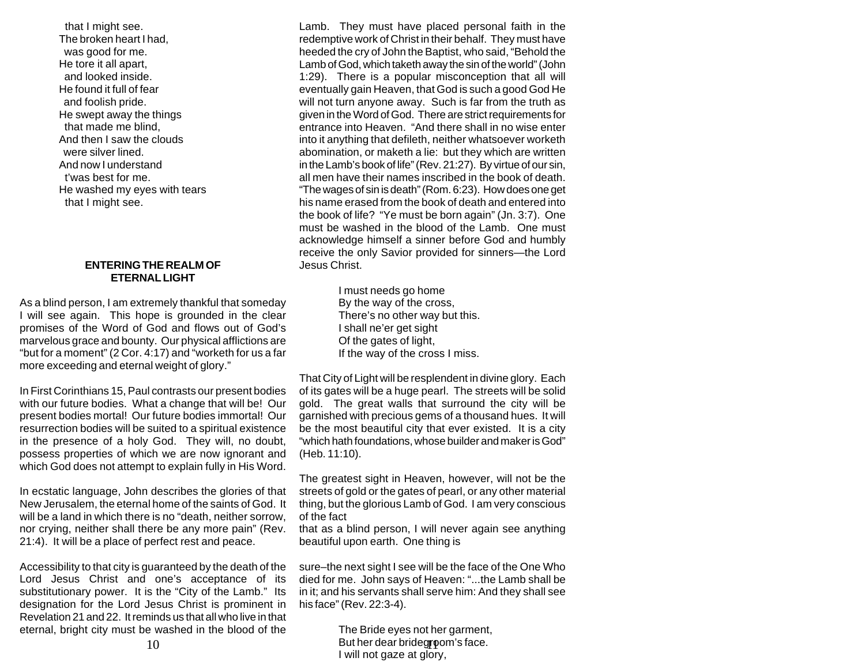that I might see. The broken heart I had, was good for me. He tore it all apart, and looked inside. He found it full of fear and foolish pride. He swept away the things that made me blind, And then I saw the clouds were silver lined. And now I understand t'was best for me. He washed my eyes with tears that I might see.

#### **ENTERING THE REALM OF ETERNAL LIGHT**

As a blind person, I am extremely thankful that someday I will see again. This hope is grounded in the clear promises of the Word of God and flows out of God's marvelous grace and bounty. Our physical afflictions are "but for a moment" (2 Cor. 4:17) and "worketh for us a far more exceeding and eternal weight of glory."

In First Corinthians 15, Paul contrasts our present bodies with our future bodies. What a change that will be! Our present bodies mortal! Our future bodies immortal! Our resurrection bodies will be suited to a spiritual existence in the presence of a holy God. They will, no doubt, possess properties of which we are now ignorant and which God does not attempt to explain fully in His Word.

In ecstatic language, John describes the glories of that New Jerusalem, the eternal home of the saints of God. It will be a land in which there is no "death, neither sorrow, nor crying, neither shall there be any more pain" (Rev. 21:4). It will be a place of perfect rest and peace.

Accessibility to that city is guaranteed by the death of the Lord Jesus Christ and one's acceptance of its substitutionary power. It is the "City of the Lamb." Its designation for the Lord Jesus Christ is prominent in Revelation 21 and 22. It reminds us that all who live in that eternal, bright city must be washed in the blood of the

Lamb. They must have placed personal faith in the redemptive work of Christ in their behalf. They must have heeded the cry of John the Baptist, who said, "Behold the Lamb of God, which taketh away the sin of the world" (John 1:29). There is a popular misconception that all will eventually gain Heaven, that God is such a good God He will not turn anyone away. Such is far from the truth as given in the Word of God. There are strict requirements for entrance into Heaven. "And there shall in no wise enter into it anything that defileth, neither whatsoever worketh abomination, or maketh a lie: but they which are written in the Lamb's book of life" (Rev. 21:27). By virtue of our sin, all men have their names inscribed in the book of death. "The wages of sin is death" (Rom. 6:23). How does one get his name erased from the book of death and entered into the book of life? "Ye must be born again" (Jn. 3:7). One must be washed in the blood of the Lamb. One must acknowledge himself a sinner before God and humbly receive the only Savior provided for sinners—the Lord Jesus Christ.

> I must needs go home By the way of the cross, There's no other way but this. I shall ne'er get sight Of the gates of light, If the way of the cross I miss.

That City of Light will be resplendent in divine glory. Each of its gates will be a huge pearl. The streets will be solid gold. The great walls that surround the city will be garnished with precious gems of a thousand hues. It will be the most beautiful city that ever existed. It is a city "which hath foundations, whose builder and maker is God" (Heb. 11:10).

The greatest sight in Heaven, however, will not be the streets of gold or the gates of pearl, or any other material thing, but the glorious Lamb of God. I am very conscious of the fact

that as a blind person, I will never again see anything beautiful upon earth. One thing is

sure–the next sight I see will be the face of the One Who died for me. John says of Heaven: "...the Lamb shall be in it; and his servants shall serve him: And they shall see his face" (Rev. 22:3-4).

The Bride eyes not her garment,  $10$  But her dear bridegroom's face. I will not gaze at glory,